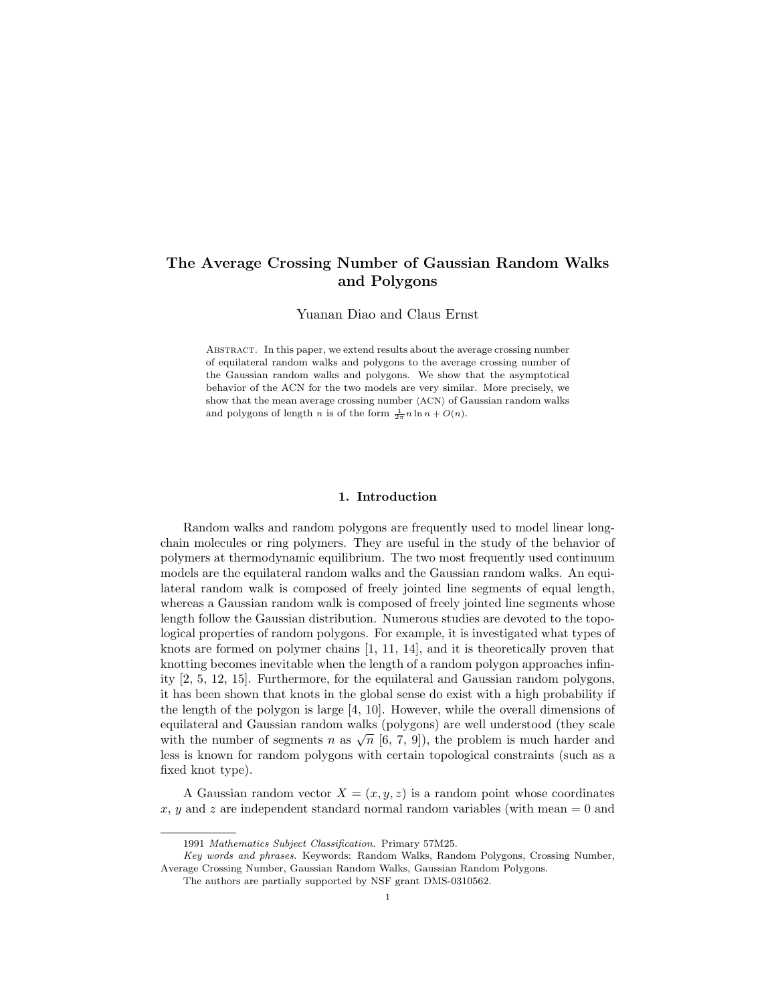# The Average Crossing Number of Gaussian Random Walks and Polygons

Yuanan Diao and Claus Ernst

Abstract. In this paper, we extend results about the average crossing number of equilateral random walks and polygons to the average crossing number of the Gaussian random walks and polygons. We show that the asymptotical behavior of the ACN for the two models are very similar. More precisely, we show that the mean average crossing number  $\langle$ ACN $\rangle$  of Gaussian random walks and polygons of length *n* is of the form  $\frac{1}{2\pi}n\ln n + O(n)$ .

# 1. Introduction

Random walks and random polygons are frequently used to model linear longchain molecules or ring polymers. They are useful in the study of the behavior of polymers at thermodynamic equilibrium. The two most frequently used continuum models are the equilateral random walks and the Gaussian random walks. An equilateral random walk is composed of freely jointed line segments of equal length, whereas a Gaussian random walk is composed of freely jointed line segments whose length follow the Gaussian distribution. Numerous studies are devoted to the topological properties of random polygons. For example, it is investigated what types of knots are formed on polymer chains [1, 11, 14], and it is theoretically proven that knotting becomes inevitable when the length of a random polygon approaches infinity [2, 5, 12, 15]. Furthermore, for the equilateral and Gaussian random polygons, it has been shown that knots in the global sense do exist with a high probability if the length of the polygon is large [4, 10]. However, while the overall dimensions of equilateral and Gaussian random walks (polygons) are well understood (they scale equinate at and Gaussian random walks (polygons) are well understood (they scale<br>with the number of segments n as  $\sqrt{n}$  [6, 7, 9]), the problem is much harder and less is known for random polygons with certain topological constraints (such as a fixed knot type).

A Gaussian random vector  $X = (x, y, z)$  is a random point whose coordinates  $x, y$  and z are independent standard normal random variables (with mean  $= 0$  and

<sup>1991</sup> Mathematics Subject Classification. Primary 57M25.

Key words and phrases. Keywords: Random Walks, Random Polygons, Crossing Number, Average Crossing Number, Gaussian Random Walks, Gaussian Random Polygons.

The authors are partially supported by NSF grant DMS-0310562.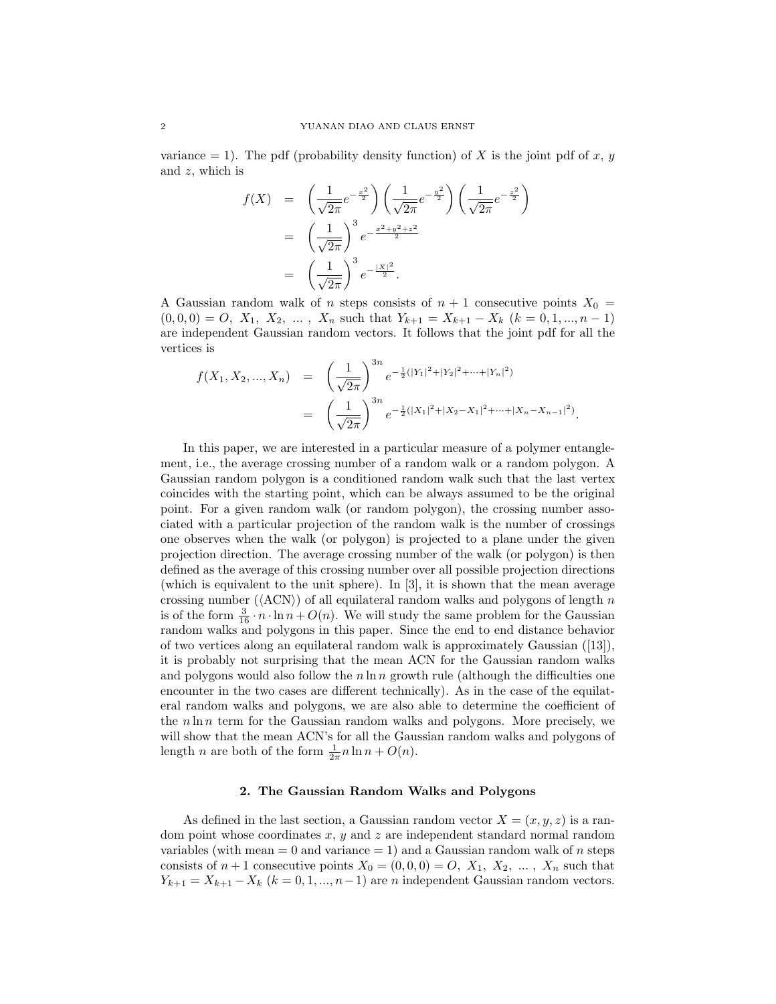variance  $= 1$ ). The pdf (probability density function) of X is the joint pdf of x, y and z, which is

$$
f(X) = \left(\frac{1}{\sqrt{2\pi}}e^{-\frac{x^2}{2}}\right)\left(\frac{1}{\sqrt{2\pi}}e^{-\frac{y^2}{2}}\right)\left(\frac{1}{\sqrt{2\pi}}e^{-\frac{z^2}{2}}\right)
$$
  

$$
= \left(\frac{1}{\sqrt{2\pi}}\right)^3e^{-\frac{x^2+y^2+z^2}{2}}
$$
  

$$
= \left(\frac{1}{\sqrt{2\pi}}\right)^3e^{-\frac{|X|^2}{2}}.
$$

A Gaussian random walk of n steps consists of  $n + 1$  consecutive points  $X_0 =$  $(0, 0, 0) = O$ ,  $X_1$ ,  $X_2$ , ...,  $X_n$  such that  $Y_{k+1} = X_{k+1} - X_k$   $(k = 0, 1, ..., n-1)$ are independent Gaussian random vectors. It follows that the joint pdf for all the vertices is

$$
f(X_1, X_2, ..., X_n) = \left(\frac{1}{\sqrt{2\pi}}\right)^{3n} e^{-\frac{1}{2}(|Y_1|^2 + |Y_2|^2 + ... + |Y_n|^2)}
$$
  
= 
$$
\left(\frac{1}{\sqrt{2\pi}}\right)^{3n} e^{-\frac{1}{2}(|X_1|^2 + |X_2 - X_1|^2 + ... + |X_n - X_{n-1}|^2)}.
$$

In this paper, we are interested in a particular measure of a polymer entanglement, i.e., the average crossing number of a random walk or a random polygon. A Gaussian random polygon is a conditioned random walk such that the last vertex coincides with the starting point, which can be always assumed to be the original point. For a given random walk (or random polygon), the crossing number associated with a particular projection of the random walk is the number of crossings one observes when the walk (or polygon) is projected to a plane under the given projection direction. The average crossing number of the walk (or polygon) is then defined as the average of this crossing number over all possible projection directions (which is equivalent to the unit sphere). In [3], it is shown that the mean average crossing number ( $\langle \text{ACN} \rangle$ ) of all equilateral random walks and polygons of length n is of the form  $\frac{3}{16} \cdot n \cdot \ln n + O(n)$ . We will study the same problem for the Gaussian random walks and polygons in this paper. Since the end to end distance behavior of two vertices along an equilateral random walk is approximately Gaussian ([13]), it is probably not surprising that the mean ACN for the Gaussian random walks and polygons would also follow the  $n \ln n$  growth rule (although the difficulties one encounter in the two cases are different technically). As in the case of the equilateral random walks and polygons, we are also able to determine the coefficient of the  $n \ln n$  term for the Gaussian random walks and polygons. More precisely, we will show that the mean ACN's for all the Gaussian random walks and polygons of length *n* are both of the form  $\frac{1}{2\pi}n\ln n + O(n)$ .

### 2. The Gaussian Random Walks and Polygons

As defined in the last section, a Gaussian random vector  $X = (x, y, z)$  is a random point whose coordinates  $x, y$  and  $z$  are independent standard normal random variables (with mean  $= 0$  and variance  $= 1$ ) and a Gaussian random walk of *n* steps consists of  $n+1$  consecutive points  $X_0 = (0,0,0) = O$ ,  $X_1, X_2, \ldots, X_n$  such that  $Y_{k+1} = X_{k+1} - X_k$   $(k = 0, 1, ..., n-1)$  are n independent Gaussian random vectors.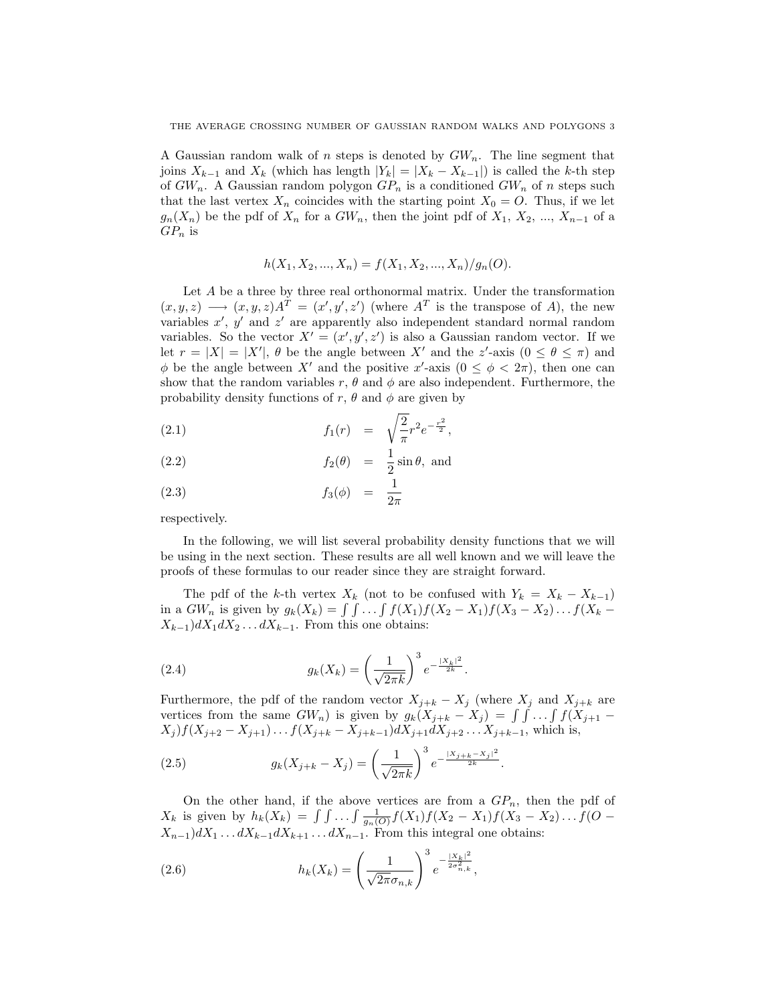A Gaussian random walk of n steps is denoted by  $GW_n$ . The line segment that joins  $X_{k-1}$  and  $X_k$  (which has length  $|Y_k| = |X_k - X_{k-1}|$ ) is called the k-th step of  $GW_n$ . A Gaussian random polygon  $GP_n$  is a conditioned  $GW_n$  of n steps such that the last vertex  $X_n$  coincides with the starting point  $X_0 = O$ . Thus, if we let  $g_n(X_n)$  be the pdf of  $X_n$  for a  $GW_n$ , then the joint pdf of  $X_1, X_2, ..., X_{n-1}$  of a  $GP_n$  is

$$
h(X_1, X_2, ..., X_n) = f(X_1, X_2, ..., X_n) / g_n(O).
$$

Let  $A$  be a three by three real orthonormal matrix. Under the transformation  $(x, y, z) \longrightarrow (x, y, z)A^{T} = (x', y', z')$  (where  $A^{T}$  is the transpose of A), the new variables  $x'$ ,  $y'$  and  $z'$  are apparently also independent standard normal random variables. So the vector  $X' = (x', y', z')$  is also a Gaussian random vector. If we let  $r = |X| = |X'|$ ,  $\theta$  be the angle between X' and the z'-axis  $(0 \le \theta \le \pi)$  and  $\phi$  be the angle between X' and the positive x'-axis  $(0 \leq \phi < 2\pi)$ , then one can show that the random variables r,  $\theta$  and  $\phi$  are also independent. Furthermore, the probability density functions of r,  $\theta$  and  $\phi$  are given by

(2.1) 
$$
f_1(r) = \sqrt{\frac{2}{\pi}} r^2 e^{-\frac{r^2}{2}},
$$

(2.2) 
$$
f_2(\theta) = \frac{1}{2}\sin\theta, \text{ and}
$$

$$
(2.3) \t\t f_3(\phi) = \frac{1}{2\pi}
$$

respectively.

In the following, we will list several probability density functions that we will be using in the next section. These results are all well known and we will leave the proofs of these formulas to our reader since they are straight forward.

The pdf of the k-th vertex  $X_k$  (not to be confused with  $Y_k = X_k - X_{k-1}$ ) in a  $GW_n$  is given by  $g_k(X_k) = \int \int \ldots \int f(X_1)f(X_2 - X_1)f(X_3 - X_2) \ldots f(X_k - X_k)$  $X_{k-1}$ )d $X_1$ d $X_2$ ...d $X_{k-1}$ . From this one obtains:

(2.4) 
$$
g_k(X_k) = \left(\frac{1}{\sqrt{2\pi k}}\right)^3 e^{-\frac{|X_k|^2}{2k}}.
$$

Furthermore, the pdf of the random vector  $X_{j+k} - X_j$  (where  $X_j$  and  $X_{j+k}$  are Furthermore, the part of the random vector  $X_{j+k} - X_j$  (where  $X_j$  and  $X_{j+k}$  are vertices from the same  $GW_n$ ) is given by  $g_k(X_{j+k} - X_j) = \int \int \ldots \int f(X_{j+1} - X_j) dx$  $X_j$ ) $f(X_{j+2} - X_{j+1}) \dots f(X_{j+k} - X_{j+k-1}) dX_{j+1} dX_{j+2} \dots X_{j+k-1}$ , which is,

(2.5) 
$$
g_k(X_{j+k} - X_j) = \left(\frac{1}{\sqrt{2\pi k}}\right)^3 e^{-\frac{|X_{j+k} - X_j|^2}{2k}}.
$$

On the other hand, if the above vertices are from a  $GP_n$ , then the pdf of On the other hand, if the above vertices are from a  $GF_n$ , then the pdf of  $X_k$  is given by  $h_k(X_k) = \int \int ... \int \frac{1}{g_n(O)} f(X_1) f(X_2 - X_1) f(X_3 - X_2) ... f(O X_{n-1}$ )d $X_1 \ldots dX_{k-1}dX_{k+1} \ldots dX_{n-1}$ . From this integral one obtains:

(2.6) 
$$
h_k(X_k) = \left(\frac{1}{\sqrt{2\pi}\sigma_{n,k}}\right)^3 e^{-\frac{|X_k|^2}{2\sigma_{n,k}^2}},
$$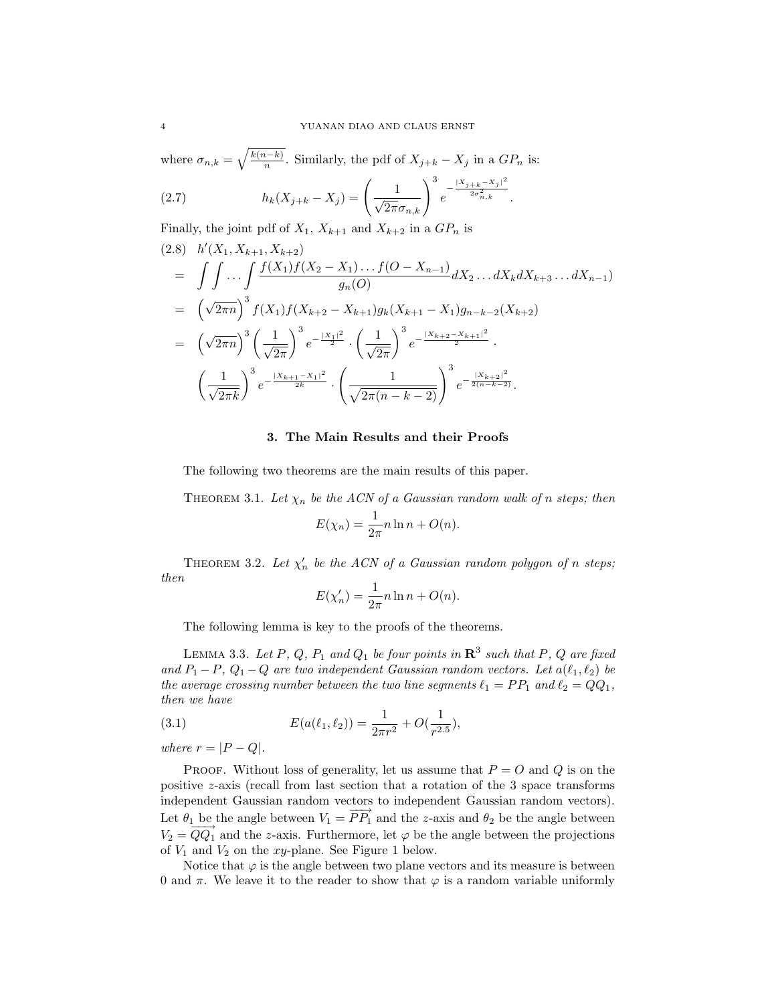where  $\sigma_{n,k} =$  $\sqrt{k(n-k)}$  $\frac{n-k}{n}$ . Similarly, the pdf of  $X_{j+k} - X_j$  in a  $GP_n$  is:

(2.7) 
$$
h_k(X_{j+k} - X_j) = \left(\frac{1}{\sqrt{2\pi}\sigma_{n,k}}\right)^3 e^{-\frac{|X_{j+k} - X_j|^2}{2\sigma_{n,k}^2}}.
$$

Finally, the joint pdf of  $X_1$ ,  $X_{k+1}$  and  $X_{k+2}$  in a  $GP_n$  is

$$
(2.8) \quad h'(X_1, X_{k+1}, X_{k+2})
$$
\n
$$
= \int \int \cdots \int \frac{f(X_1)f(X_2 - X_1) \cdots f(O - X_{n-1})}{g_n(O)} dX_2 \cdots dX_k dX_{k+3} \cdots dX_{n-1}
$$
\n
$$
= \left(\sqrt{2\pi n}\right)^3 f(X_1)f(X_{k+2} - X_{k+1})g_k(X_{k+1} - X_1)g_{n-k-2}(X_{k+2})
$$
\n
$$
= \left(\sqrt{2\pi n}\right)^3 \left(\frac{1}{\sqrt{2\pi}}\right)^3 e^{-\frac{|X_1|^2}{2}} \cdot \left(\frac{1}{\sqrt{2\pi}}\right)^3 e^{-\frac{|X_{k+2} - X_{k+1}|^2}{2}}.
$$
\n
$$
\left(\frac{1}{\sqrt{2\pi k}}\right)^3 e^{-\frac{|X_{k+1} - X_1|^2}{2k}} \cdot \left(\frac{1}{\sqrt{2\pi (n - k - 2)}}\right)^3 e^{-\frac{|X_{k+2}|^2}{2(n - k - 2)}}.
$$

# 3. The Main Results and their Proofs

The following two theorems are the main results of this paper.

THEOREM 3.1. Let  $\chi_n$  be the ACN of a Gaussian random walk of n steps; then

$$
E(\chi_n) = \frac{1}{2\pi} n \ln n + O(n).
$$

THEOREM 3.2. Let  $\chi'_n$  be the ACN of a Gaussian random polygon of n steps; then

$$
E(\chi'_n) = \frac{1}{2\pi} n \ln n + O(n).
$$

The following lemma is key to the proofs of the theorems.

LEMMA 3.3. Let P, Q,  $P_1$  and  $Q_1$  be four points in  $\mathbb{R}^3$  such that P, Q are fixed and  $P_1 - P$ ,  $Q_1 - Q$  are two independent Gaussian random vectors. Let  $a(\ell_1, \ell_2)$  be the average crossing number between the two line segments  $\ell_1 = PP_1$  and  $\ell_2 = QQ_1$ , then we have

(3.1) 
$$
E(a(\ell_1, \ell_2)) = \frac{1}{2\pi r^2} + O(\frac{1}{r^{2.5}}),
$$

where  $r = |P - Q|$ .

PROOF. Without loss of generality, let us assume that  $P = O$  and Q is on the positive  $z$ -axis (recall from last section that a rotation of the 3 space transforms independent Gaussian random vectors to independent Gaussian random vectors). Let  $\theta_1$  be the angle between  $V_1 = \overrightarrow{PP_1}$  and the z-axis and  $\theta_2$  be the angle between  $V_2 = \overline{Q} \overline{Q}_1$  and the z-axis. Furthermore, let  $\varphi$  be the angle between the projections of  $V_1$  and  $V_2$  on the xy-plane. See Figure 1 below.

Notice that  $\varphi$  is the angle between two plane vectors and its measure is between 0 and  $\pi$ . We leave it to the reader to show that  $\varphi$  is a random variable uniformly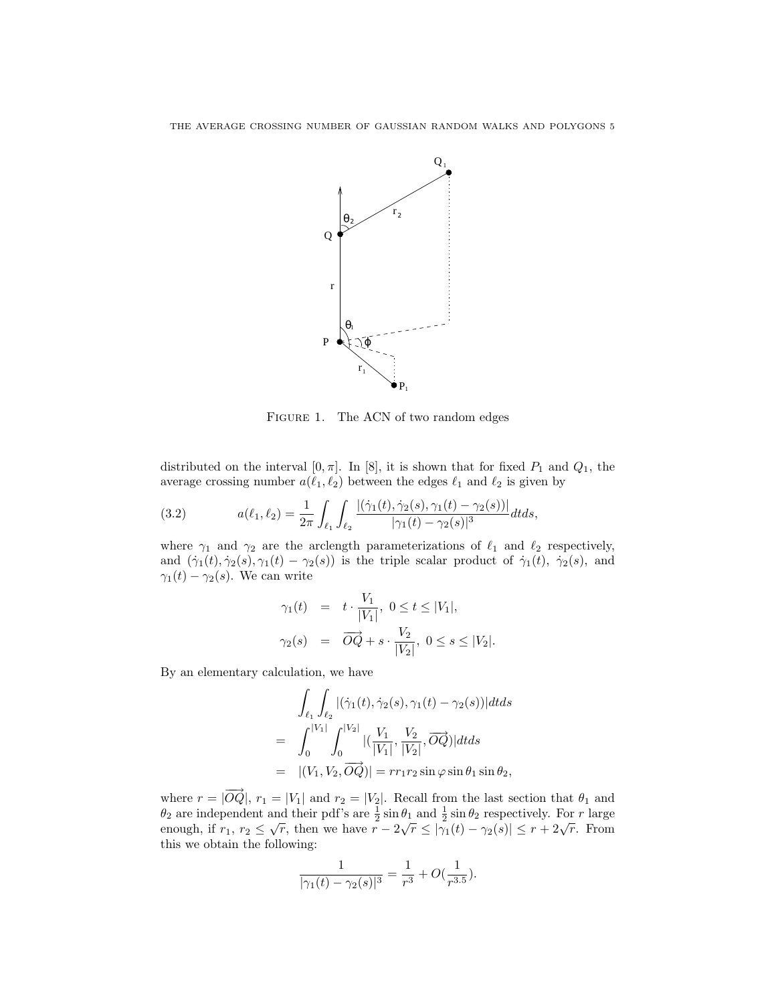

FIGURE 1. The ACN of two random edges

distributed on the interval [0,  $\pi$ ]. In [8], it is shown that for fixed  $P_1$  and  $Q_1$ , the average crossing number  $a(\ell_1, \ell_2)$  between the edges  $\ell_1$  and  $\ell_2$  is given by

(3.2) 
$$
a(\ell_1, \ell_2) = \frac{1}{2\pi} \int_{\ell_1} \int_{\ell_2} \frac{|(\dot{\gamma}_1(t), \dot{\gamma}_2(s), \gamma_1(t) - \gamma_2(s))|}{|\gamma_1(t) - \gamma_2(s)|^3} dt ds,
$$

where  $\gamma_1$  and  $\gamma_2$  are the arclength parameterizations of  $\ell_1$  and  $\ell_2$  respectively, and  $(\dot{\gamma}_1(t), \dot{\gamma}_2(s), \gamma_1(t) - \gamma_2(s))$  is the triple scalar product of  $\dot{\gamma}_1(t), \dot{\gamma}_2(s)$ , and  $\gamma_1(t) - \gamma_2(s)$ . We can write

$$
\gamma_1(t) = t \cdot \frac{V_1}{|V_1|}, \ 0 \le t \le |V_1|,
$$
  

$$
\gamma_2(s) = \overrightarrow{OQ} + s \cdot \frac{V_2}{|V_2|}, \ 0 \le s \le |V_2|.
$$

By an elementary calculation, we have

$$
\int_{\ell_1} \int_{\ell_2} |(\dot{\gamma}_1(t), \dot{\gamma}_2(s), \gamma_1(t) - \gamma_2(s))| dt ds
$$
\n
$$
= \int_0^{|V_1|} \int_0^{|V_2|} |(\frac{V_1}{|V_1|}, \frac{V_2}{|V_2|}, \overrightarrow{OQ})| dt ds
$$
\n
$$
= |(V_1, V_2, \overrightarrow{OQ})| = rr_1r_2 \sin \varphi \sin \theta_1 \sin \theta_2,
$$

where  $r = |\overrightarrow{OQ}|$ ,  $r_1 = |V_1|$  and  $r_2 = |V_2|$ . Recall from the last section that  $\theta_1$  and  $\theta_2$  are independent and their pdf's are  $\frac{1}{2} \sin \theta_1$  and  $\frac{1}{2} \sin \theta_2$  respectively. For r large by are independent and then put s are  $\frac{1}{2}$  sin  $v_1$  and  $\frac{1}{2}$  sin  $v_2$  respectively. For *r* harge enough, if  $r_1, r_2 \leq \sqrt{r}$ , then we have  $r - 2\sqrt{r} \leq |\gamma_1(t) - \gamma_2(s)| \leq r + 2\sqrt{r}$ . From this we obtain the following:

$$
\frac{1}{|\gamma_1(t) - \gamma_2(s)|^3} = \frac{1}{r^3} + O(\frac{1}{r^{3.5}}).
$$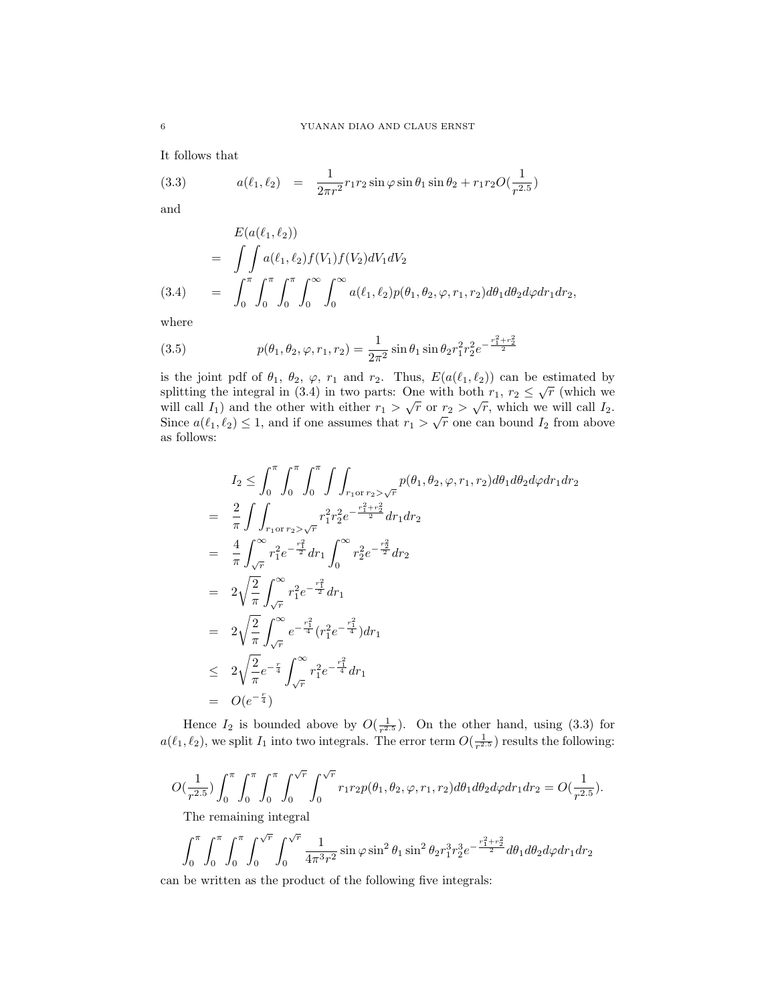It follows that

(3.3) 
$$
a(\ell_1, \ell_2) = \frac{1}{2\pi r^2} r_1 r_2 \sin \varphi \sin \theta_1 \sin \theta_2 + r_1 r_2 O(\frac{1}{r^{2.5}})
$$

and

$$
E(a(\ell_1, \ell_2))
$$
  
= 
$$
\int \int a(\ell_1, \ell_2) f(V_1) f(V_2) dV_1 dV_2
$$
  
(3.4) = 
$$
\int_0^{\pi} \int_0^{\pi} \int_0^{\pi} \int_0^{\infty} \int_0^{\infty} a(\ell_1, \ell_2) p(\theta_1, \theta_2, \varphi, r_1, r_2) d\theta_1 d\theta_2 d\varphi dr_1 dr_2,
$$

where

(3.5) 
$$
p(\theta_1, \theta_2, \varphi, r_1, r_2) = \frac{1}{2\pi^2} \sin \theta_1 \sin \theta_2 r_1^2 r_2^2 e^{-\frac{r_1^2 + r_2^2}{2}}
$$

is the joint pdf of  $\theta_1$ ,  $\theta_2$ ,  $\varphi$ ,  $r_1$  and  $r_2$ . Thus,  $E(a(\ell_1, \ell_2))$  can be estimated by is the joint put of  $\sigma_1$ ,  $\sigma_2$ ,  $\varphi$ ,  $r_1$  and  $r_2$ . Thus,  $E(a(\ell_1, \ell_2))$  can be estimated by splitting the integral in (3.4) in two parts: One with both  $r_1$ ,  $r_2 \leq \sqrt{r}$  (which we spinting the integral in (3.4) in two parts. One with both  $r_1$ ,  $r_2 \le \sqrt{r}$  (which we will call  $I_1$ ) and the other with either  $r_1 > \sqrt{r}$  or  $r_2 > \sqrt{r}$ , which we will call  $I_2$ . will can  $I_1$ ) and the other with either  $r_1 > \sqrt{r}$  or  $r_2 > \sqrt{r}$ , which we will can  $I_2$ .<br>Since  $a(\ell_1, \ell_2) \le 1$ , and if one assumes that  $r_1 > \sqrt{r}$  one can bound  $I_2$  from above as follows:

$$
I_2 \leq \int_0^{\pi} \int_0^{\pi} \int_0^{\pi} \int \int_{r_1 \text{ or } r_2 > \sqrt{r}} p(\theta_1, \theta_2, \varphi, r_1, r_2) d\theta_1 d\theta_2 d\varphi dr_1 dr_2
$$
  
\n
$$
= \frac{2}{\pi} \int \int_{r_1 \text{ or } r_2 > \sqrt{r}} r_1^2 r_2^2 e^{-\frac{r_1^2 + r_2^2}{2}} dr_1 dr_2
$$
  
\n
$$
= \frac{4}{\pi} \int_{\sqrt{r}}^{\infty} r_1^2 e^{-\frac{r_1^2}{2}} dr_1 \int_0^{\infty} r_2^2 e^{-\frac{r_2^2}{2}} dr_2
$$
  
\n
$$
= 2 \sqrt{\frac{2}{\pi}} \int_{\sqrt{r}}^{\infty} r_1^2 e^{-\frac{r_1^2}{2}} dr_1
$$
  
\n
$$
= 2 \sqrt{\frac{2}{\pi}} \int_{\sqrt{r}}^{\infty} e^{-\frac{r_1^2}{4}} (r_1^2 e^{-\frac{r_1^2}{4}}) dr_1
$$
  
\n
$$
\leq 2 \sqrt{\frac{2}{\pi}} e^{-\frac{r}{4}} \int_{\sqrt{r}}^{\infty} r_1^2 e^{-\frac{r_1^2}{4}} dr_1
$$
  
\n
$$
= O(e^{-\frac{r}{4}})
$$

Hence  $I_2$  is bounded above by  $O(\frac{1}{r^{2.5}})$ . On the other hand, using (3.3) for  $a(\ell_1, \ell_2)$ , we split  $I_1$  into two integrals. The error term  $O(\frac{1}{r^{2.5}})$  results the following:

$$
O(\frac{1}{r^{2.5}})\int_0^{\pi}\int_0^{\pi}\int_0^{\pi}\int_0^{\sqrt{r}}\int_0^{\sqrt{r}}r_1r_2p(\theta_1,\theta_2,\varphi,r_1,r_2)d\theta_1d\theta_2d\varphi dr_1dr_2=O(\frac{1}{r^{2.5}}).
$$
 The remaining integral

$$
\int_0^{\pi} \int_0^{\pi} \int_0^{\sqrt{r}} \int_0^{\sqrt{r}} \frac{1}{4\pi^3 r^2} \sin \varphi \sin^2 \theta_1 \sin^2 \theta_2 r_1^3 r_2^3 e^{-\frac{r_1^2 + r_2^2}{2}} d\theta_1 d\theta_2 d\varphi dr_1 dr_2
$$

can be written as the product of the following five integrals: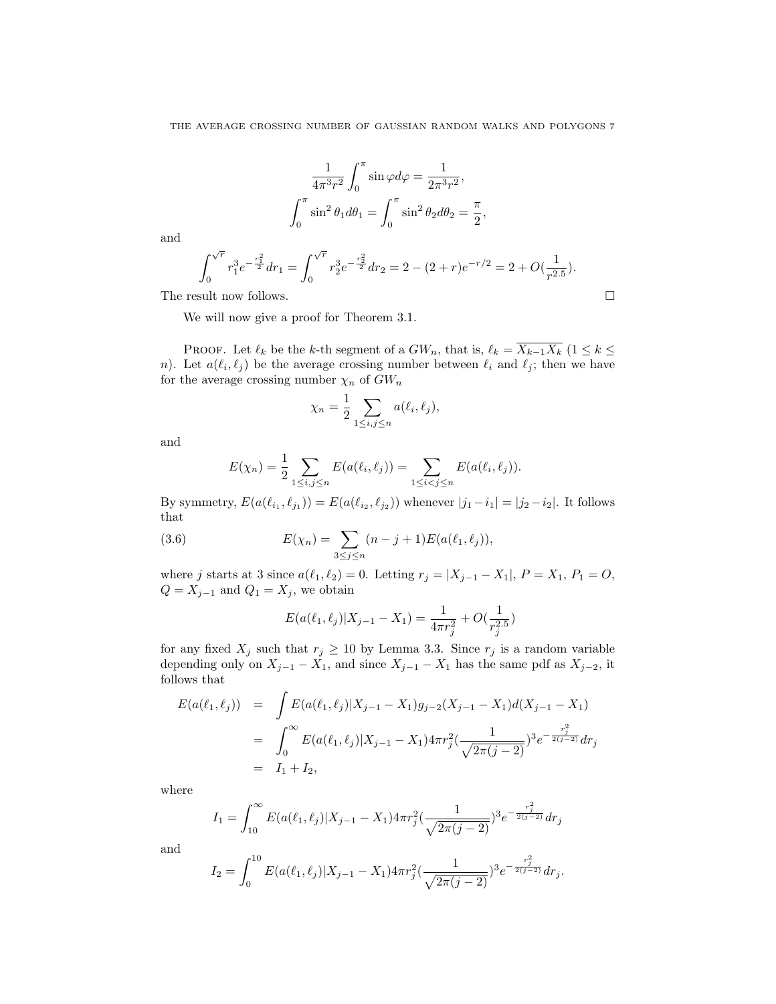$$
\frac{1}{4\pi^3 r^2} \int_0^\pi \sin \varphi d\varphi = \frac{1}{2\pi^3 r^2},
$$

$$
\int_0^\pi \sin^2 \theta_1 d\theta_1 = \int_0^\pi \sin^2 \theta_2 d\theta_2 = \frac{\pi}{2},
$$

and

$$
\int_0^{\sqrt{r}} r_1^3 e^{-\frac{r_1^2}{2}} dr_1 = \int_0^{\sqrt{r}} r_2^3 e^{-\frac{r_2^2}{2}} dr_2 = 2 - (2+r)e^{-r/2} = 2 + O(\frac{1}{r^{2.5}}).
$$
  
The result now follows.

We will now give a proof for Theorem 3.1.

PROOF. Let  $\ell_k$  be the k-th segment of a  $GW_n$ , that is,  $\ell_k = \overline{X_{k-1}X_k}$  ( $1 \leq k \leq$ n). Let  $a(\ell_i, \ell_j)$  be the average crossing number between  $\ell_i$  and  $\ell_j$ ; then we have for the average crossing number  $\chi_n$  of  $GW_n$ 

$$
\chi_n = \frac{1}{2} \sum_{1 \le i,j \le n} a(\ell_i, \ell_j),
$$

and

$$
E(\chi_n) = \frac{1}{2} \sum_{1 \le i,j \le n} E(a(\ell_i, \ell_j)) = \sum_{1 \le i < j \le n} E(a(\ell_i, \ell_j)).
$$

By symmetry,  $E(a(\ell_{i_1}, \ell_{j_1})) = E(a(\ell_{i_2}, \ell_{j_2}))$  whenever  $|j_1 - i_1| = |j_2 - i_2|$ . It follows that

(3.6) 
$$
E(\chi_n) = \sum_{3 \le j \le n} (n - j + 1) E(a(\ell_1, \ell_j)),
$$

where j starts at 3 since  $a(\ell_1, \ell_2) = 0$ . Letting  $r_j = |X_{j-1} - X_1|, P = X_1, P_1 = O$ ,  $Q = X_{j-1}$  and  $Q_1 = X_j$ , we obtain

$$
E(a(\ell_1, \ell_j)|X_{j-1} - X_1) = \frac{1}{4\pi r_j^2} + O(\frac{1}{r_j^{2.5}})
$$

for any fixed  $X_j$  such that  $r_j \ge 10$  by Lemma 3.3. Since  $r_j$  is a random variable depending only on  $X_{j-1} - X_1$ , and since  $X_{j-1} - X_1$  has the same pdf as  $X_{j-2}$ , it follows that

$$
E(a(\ell_1, \ell_j)) = \int E(a(\ell_1, \ell_j)|X_{j-1} - X_1)g_{j-2}(X_{j-1} - X_1)d(X_{j-1} - X_1)
$$
  
= 
$$
\int_0^\infty E(a(\ell_1, \ell_j)|X_{j-1} - X_1)4\pi r_j^2(\frac{1}{\sqrt{2\pi (j-2)}})^3 e^{-\frac{r_j^2}{2(j-2)}} dr_j
$$
  
=  $I_1 + I_2$ ,

where

$$
I_1 = \int_{10}^{\infty} E(a(\ell_1, \ell_j)|X_{j-1} - X_1) 4\pi r_j^2 \left(\frac{1}{\sqrt{2\pi (j-2)}}\right)^3 e^{-\frac{r_j^2}{2(j-2)}} dr_j
$$

and

$$
I_2 = \int_0^{10} E(a(\ell_1, \ell_j)|X_{j-1} - X_1) 4\pi r_j^2 \left(\frac{1}{\sqrt{2\pi (j-2)}}\right)^3 e^{-\frac{r_j^2}{2(j-2)}} dr_j.
$$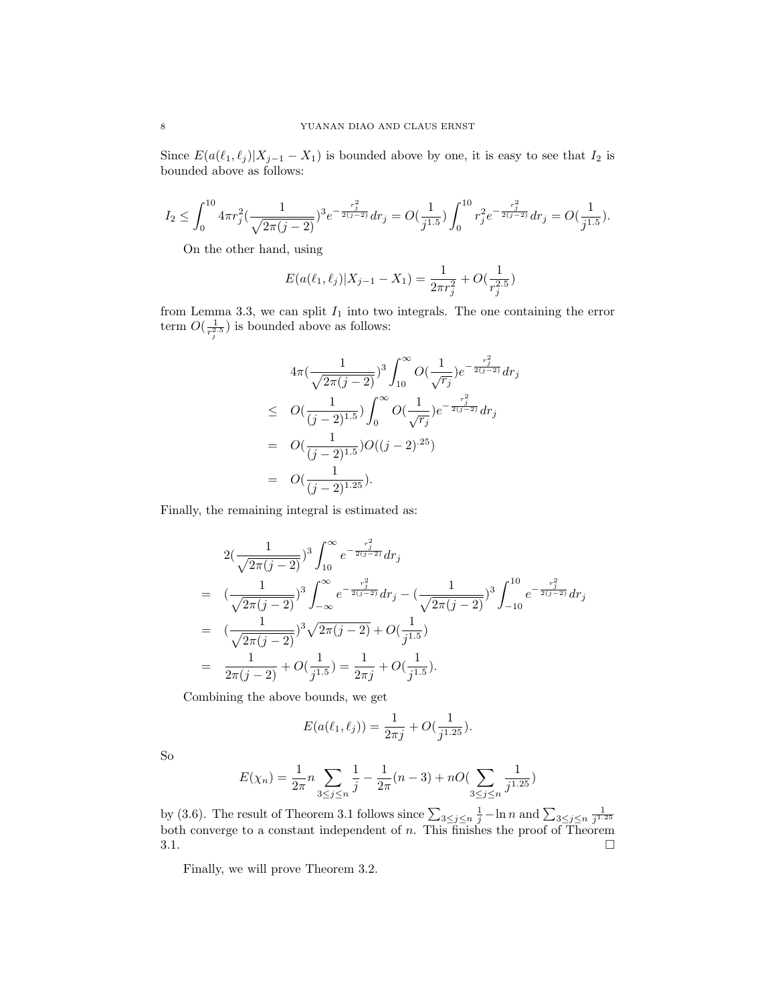Since  $E(a(\ell_1, \ell_j)|X_{j-1} - X_1)$  is bounded above by one, it is easy to see that  $I_2$  is bounded above as follows:

$$
I_2 \leq \int_0^{10} 4\pi r_j^2 \big( \frac{1}{\sqrt{2\pi (j-2)}} \big)^3 e^{-\frac{r_j^2}{2(j-2)}} dr_j = O\big( \frac{1}{j^{1.5}} \big) \int_0^{10} r_j^2 e^{-\frac{r_j^2}{2(j-2)}} dr_j = O\big( \frac{1}{j^{1.5}} \big).
$$

On the other hand, using

$$
E(a(\ell_1, \ell_j)|X_{j-1} - X_1) = \frac{1}{2\pi r_j^2} + O(\frac{1}{r_j^{2.5}})
$$

from Lemma 3.3, we can split  $I_1$  into two integrals. The one containing the error term  $O(\frac{1}{r_j^{2.5}})$  is bounded above as follows:

$$
4\pi \left(\frac{1}{\sqrt{2\pi (j-2)}}\right)^3 \int_{10}^{\infty} O\left(\frac{1}{\sqrt{r_j}}\right) e^{-\frac{r_j^2}{2(j-2)}} dr_j
$$
  
\n
$$
\leq O\left(\frac{1}{(j-2)^{1.5}}\right) \int_0^{\infty} O\left(\frac{1}{\sqrt{r_j}}\right) e^{-\frac{r_j^2}{2(j-2)}} dr_j
$$
  
\n
$$
= O\left(\frac{1}{(j-2)^{1.5}}\right) O\left((j-2)^{25}\right)
$$
  
\n
$$
= O\left(\frac{1}{(j-2)^{1.25}}\right).
$$

Finally, the remaining integral is estimated as:

$$
2\left(\frac{1}{\sqrt{2\pi(j-2)}}\right)^3 \int_{10}^{\infty} e^{-\frac{r_j^2}{2(j-2)}} dr_j
$$
  
\n
$$
= \left(\frac{1}{\sqrt{2\pi(j-2)}}\right)^3 \int_{-\infty}^{\infty} e^{-\frac{r_j^2}{2(j-2)}} dr_j - \left(\frac{1}{\sqrt{2\pi(j-2)}}\right)^3 \int_{-10}^{10} e^{-\frac{r_j^2}{2(j-2)}} dr_j
$$
  
\n
$$
= \left(\frac{1}{\sqrt{2\pi(j-2)}}\right)^3 \sqrt{2\pi(j-2)} + O(\frac{1}{j^{1.5}})
$$
  
\n
$$
= \frac{1}{2\pi(j-2)} + O(\frac{1}{j^{1.5}}) = \frac{1}{2\pi j} + O(\frac{1}{j^{1.5}}).
$$

Combining the above bounds, we get

$$
E(a(\ell_1, \ell_j)) = \frac{1}{2\pi j} + O(\frac{1}{j^{1.25}}).
$$

So

$$
E(\chi_n) = \frac{1}{2\pi} n \sum_{3 \le j \le n} \frac{1}{j} - \frac{1}{2\pi} (n-3) + n O(\sum_{3 \le j \le n} \frac{1}{j^{1.25}})
$$

by (3.6). The result of Theorem 3.1 follows since  $\sum_{3\leq j\leq n} \frac{1}{j} - \ln n$  and  $\sum_{3\leq j\leq n} \frac{1}{j^{1.25}}$  both converge to a constant independent of n. This finishes the proof of Theorem  $3.1.$ 

Finally, we will prove Theorem 3.2.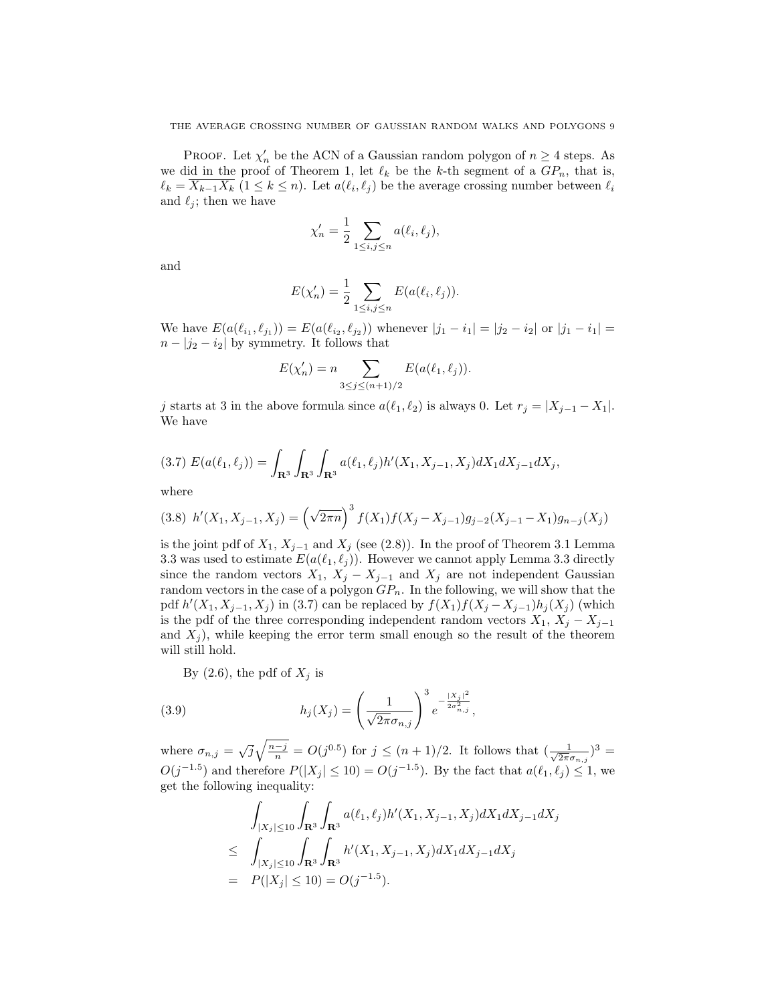**PROOF.** Let  $\chi'_n$  be the ACN of a Gaussian random polygon of  $n \geq 4$  steps. As we did in the proof of Theorem 1, let  $\ell_k$  be the k-th segment of a  $GP_n$ , that is,  $\ell_k = \overline{X_{k-1}X_k}$   $(1 \leq k \leq n)$ . Let  $a(\ell_i, \ell_j)$  be the average crossing number between  $\ell_i$ and  $\ell_j$ ; then we have

$$
\chi'_n = \frac{1}{2} \sum_{1 \le i,j \le n} a(\ell_i, \ell_j),
$$

and

$$
E(\chi'_n) = \frac{1}{2} \sum_{1 \le i,j \le n} E(a(\ell_i, \ell_j)).
$$

We have  $E(a(\ell_{i_1}, \ell_{j_1})) = E(a(\ell_{i_2}, \ell_{j_2}))$  whenever  $|j_1 - i_1| = |j_2 - i_2|$  or  $|j_1 - i_1| =$  $n - |j_2 - i_2|$  by symmetry. It follows that

$$
E(\chi'_n) = n \sum_{3 \le j \le (n+1)/2} E(a(\ell_1, \ell_j)).
$$

j starts at 3 in the above formula since  $a(\ell_1, \ell_2)$  is always 0. Let  $r_j = |X_{j-1} - X_1|$ . We have

$$
(3.7) E(a(\ell_1, \ell_j)) = \int_{\mathbf{R}^3} \int_{\mathbf{R}^3} \int_{\mathbf{R}^3} a(\ell_1, \ell_j) h'(X_1, X_{j-1}, X_j) dX_1 dX_{j-1} dX_j,
$$

where

$$
(3.8) \ \ h'(X_1, X_{j-1}, X_j) = \left(\sqrt{2\pi n}\right)^3 f(X_1) f(X_j - X_{j-1}) g_{j-2}(X_{j-1} - X_1) g_{n-j}(X_j)
$$

is the joint pdf of  $X_1, X_{j-1}$  and  $X_j$  (see (2.8)). In the proof of Theorem 3.1 Lemma 3.3 was used to estimate  $E(a(\ell_1, \ell_j))$ . However we cannot apply Lemma 3.3 directly since the random vectors  $X_1$ ,  $X_j - X_{j-1}$  and  $X_j$  are not independent Gaussian random vectors in the case of a polygon  $GP_n$ . In the following, we will show that the pdf  $h'(X_1, X_{j-1}, X_j)$  in (3.7) can be replaced by  $f(X_1)f(X_j - X_{j-1})h_j(X_j)$  (which is the pdf of the three corresponding independent random vectors  $X_1, X_j - X_{j-1}$ and  $X_i$ ), while keeping the error term small enough so the result of the theorem will still hold.

By  $(2.6)$ , the pdf of  $X_j$  is

(3.9) 
$$
h_j(X_j) = \left(\frac{1}{\sqrt{2\pi}\sigma_{n,j}}\right)^3 e^{-\frac{|X_j|^2}{2\sigma_{n,j}^2}},
$$

where  $\sigma_{n,j} = \sqrt{j} \sqrt{\frac{n-j}{n}} = O(j^{0.5})$  for  $j \leq (n+1)/2$ . It follows that  $(\frac{1}{\sqrt{2\pi}})$  $\frac{1}{2\pi\sigma_{n,j}})^3 =$  $O(j^{-1.5})$  and therefore  $P(|X_j| \leq 10) = O(j^{-1.5})$ . By the fact that  $a(\ell_1, \ell_j) \leq 1$ , we get the following inequality:

$$
\int_{|X_j| \le 10} \int_{\mathbf{R}^3} \int_{\mathbf{R}^3} a(\ell_1, \ell_j) h'(X_1, X_{j-1}, X_j) dX_1 dX_{j-1} dX_j
$$
\n
$$
\le \int_{|X_j| \le 10} \int_{\mathbf{R}^3} \int_{\mathbf{R}^3} h'(X_1, X_{j-1}, X_j) dX_1 dX_{j-1} dX_j
$$
\n
$$
= P(|X_j| \le 10) = O(j^{-1.5}).
$$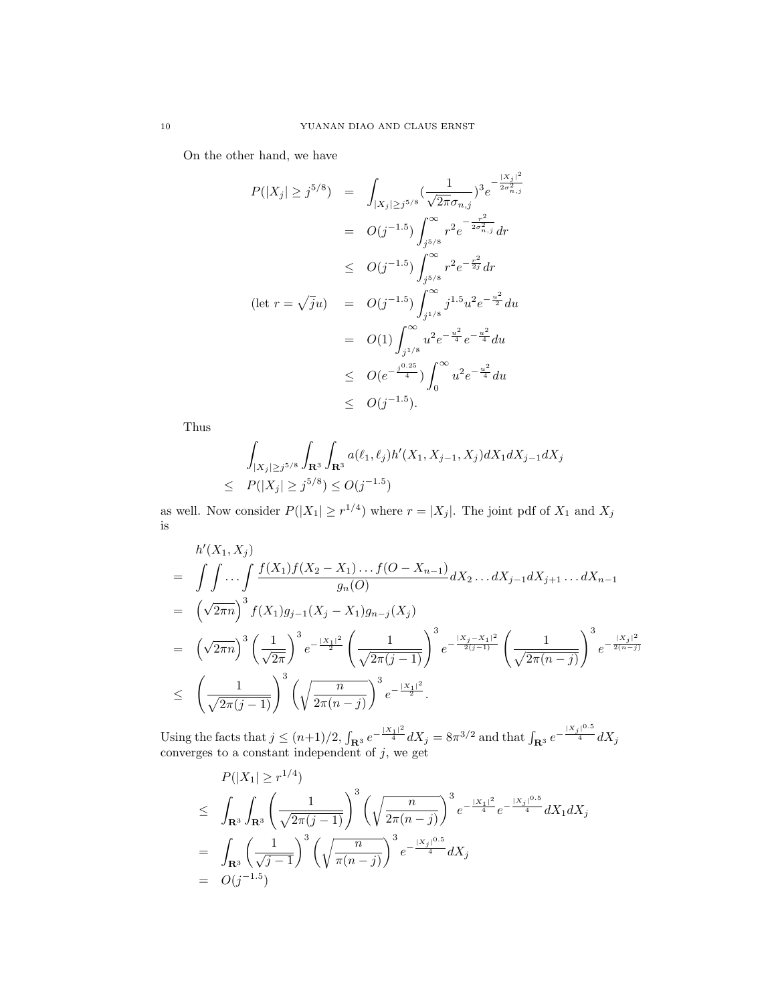On the other hand, we have

$$
P(|X_j| \ge j^{5/8}) = \int_{|X_j| \ge j^{5/8}} \frac{1}{\sqrt{2\pi}\sigma_{n,j}})^3 e^{-\frac{|X_j|^2}{2\sigma_{n,j}^2}}
$$
  
\n
$$
= O(j^{-1.5}) \int_{j^{5/8}}^{\infty} r^2 e^{-\frac{r^2}{2\sigma_{n,j}^2}} dr
$$
  
\n
$$
\le O(j^{-1.5}) \int_{j^{5/8}}^{\infty} r^2 e^{-\frac{r^2}{2j}} dr
$$
  
\n
$$
= O(j^{-1.5}) \int_{j^{1/8}}^{\infty} j^{1.5} u^2 e^{-\frac{u^2}{2}} du
$$
  
\n
$$
= O(1) \int_{j^{1/8}}^{\infty} u^2 e^{-\frac{u^2}{4}} e^{-\frac{u^2}{4}} du
$$
  
\n
$$
\le O(e^{-\frac{j^{0.25}}{4}}) \int_0^{\infty} u^2 e^{-\frac{u^2}{4}} du
$$
  
\n
$$
\le O(j^{-1.5}).
$$

Thus

$$
\int_{|X_j| \ge j^{5/8}} \int_{\mathbf{R}^3} \int_{\mathbf{R}^3} a(\ell_1, \ell_j) h'(X_1, X_{j-1}, X_j) dX_1 dX_{j-1} dX_j
$$
\n
$$
\le P(|X_j| \ge j^{5/8}) \le O(j^{-1.5})
$$

as well. Now consider  $P(|X_1| \geq r^{1/4})$  where  $r = |X_j|$ . The joint pdf of  $X_1$  and  $X_j$ is

$$
h'(X_1, X_j)
$$
\n
$$
= \int \int \cdots \int \frac{f(X_1)f(X_2 - X_1)\dots f(O - X_{n-1})}{g_n(O)} dX_2 \dots dX_{j-1} dX_{j+1}\dots dX_{n-1}
$$
\n
$$
= (\sqrt{2\pi n})^3 f(X_1)g_{j-1}(X_j - X_1)g_{n-j}(X_j)
$$
\n
$$
= (\sqrt{2\pi n})^3 \left(\frac{1}{\sqrt{2\pi}}\right)^3 e^{-\frac{|X_1|^2}{2}} \left(\frac{1}{\sqrt{2\pi (j-1)}}\right)^3 e^{-\frac{|X_j - X_1|^2}{2(j-1)}} \left(\frac{1}{\sqrt{2\pi (n-j)}}\right)^3 e^{-\frac{|X_j|^2}{2(n-j)}}
$$
\n
$$
\leq \left(\frac{1}{\sqrt{2\pi (j-1)}}\right)^3 \left(\sqrt{\frac{n}{2\pi (n-j)}}\right)^3 e^{-\frac{|X_1|^2}{2}}.
$$

Using the facts that  $j \leq (n+1)/2$ ,  $\int_{\mathbf{R}^3} e^{-\frac{|X_1|^2}{4}} dX_j = 8\pi^{3/2}$  and that  $\int_{\mathbf{R}^3} e^{-\frac{|X_j|^{0.5}}{4}} dX_j$ converges to a constant independent of  $j$ , we get

$$
P(|X_1| \ge r^{1/4})
$$
  
\n
$$
\le \int_{\mathbf{R}^3} \int_{\mathbf{R}^3} \left( \frac{1}{\sqrt{2\pi (j-1)}} \right)^3 \left( \sqrt{\frac{n}{2\pi (n-j)}} \right)^3 e^{-\frac{|X_1|^2}{4}} e^{-\frac{|X_j|^{0.5}}{4}} dX_1 dX_j
$$
  
\n
$$
= \int_{\mathbf{R}^3} \left( \frac{1}{\sqrt{j-1}} \right)^3 \left( \sqrt{\frac{n}{\pi (n-j)}} \right)^3 e^{-\frac{|X_j|^{0.5}}{4}} dX_j
$$
  
\n
$$
= O(j^{-1.5})
$$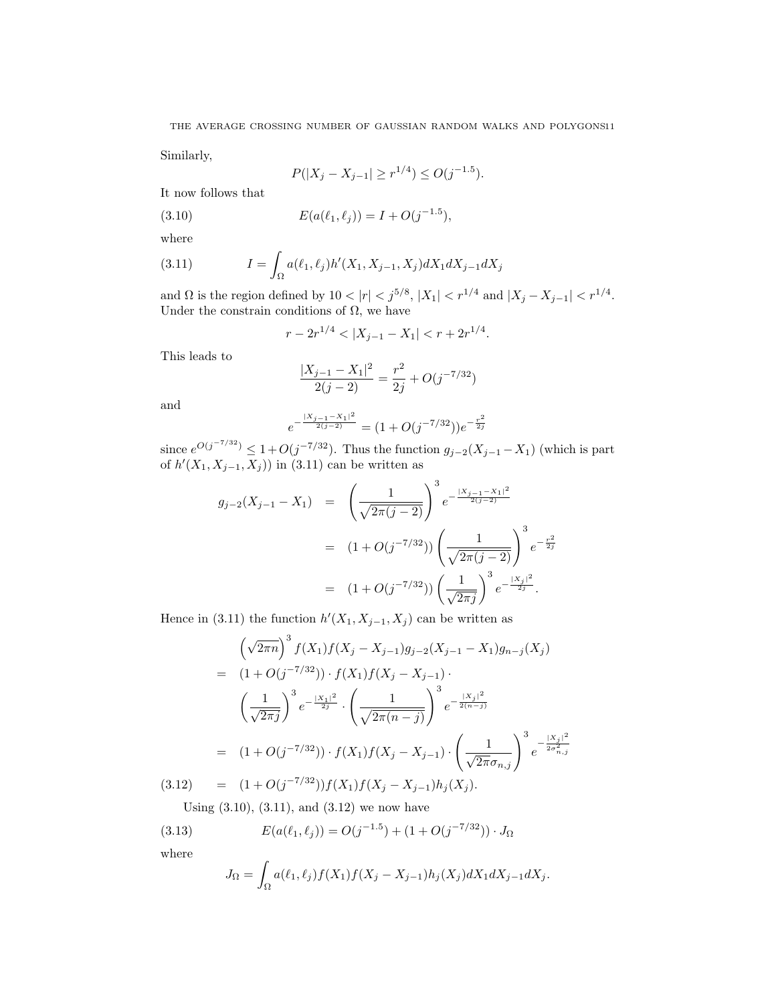Similarly,

$$
P(|X_j - X_{j-1}| \ge r^{1/4}) \le O(j^{-1.5}).
$$

It now follows that

(3.10) 
$$
E(a(\ell_1, \ell_j)) = I + O(j^{-1.5}),
$$

where

(3.11) 
$$
I = \int_{\Omega} a(\ell_1, \ell_j) h'(X_1, X_{j-1}, X_j) dX_1 dX_{j-1} dX_j
$$

and  $\Omega$  is the region defined by  $10 < |r| < j^{5/8}$ ,  $|X_1| < r^{1/4}$  and  $|X_j - X_{j-1}| < r^{1/4}$ . Under the constrain conditions of  $\Omega$ , we have

$$
r - 2r^{1/4} < |X_{j-1} - X_1| < r + 2r^{1/4}.
$$

This leads to

$$
\frac{|X_{j-1} - X_1|^2}{2(j-2)} = \frac{r^2}{2j} + O(j^{-7/32})
$$

and

$$
e^{-\frac{|X_{j-1}-X_1|^2}{2(j-2)}} = (1+O(j^{-7/32}))e^{-\frac{r^2}{2j}}
$$

since  $e^{O(j^{-7/32})} \leq 1 + O(j^{-7/32})$ . Thus the function  $g_{j-2}(X_{j-1} - X_1)$  (which is part of  $h'(X_1, X_{j-1}, X_j)$  in (3.11) can be written as

$$
g_{j-2}(X_{j-1} - X_1) = \left(\frac{1}{\sqrt{2\pi(j-2)}}\right)^3 e^{-\frac{|X_{j-1} - X_1|^2}{2(j-2)}}
$$
  
=  $(1 + O(j^{-7/32})) \left(\frac{1}{\sqrt{2\pi(j-2)}}\right)^3 e^{-\frac{r^2}{2j}}$   
=  $(1 + O(j^{-7/32})) \left(\frac{1}{\sqrt{2\pi j}}\right)^3 e^{-\frac{|X_j|^2}{2j}}.$ 

Hence in (3.11) the function  $h'(X_1, X_{j-1}, X_j)$  can be written as

$$
\left(\sqrt{2\pi n}\right)^3 f(X_1) f(X_j - X_{j-1}) g_{j-2}(X_{j-1} - X_1) g_{n-j}(X_j)
$$
\n
$$
= (1 + O(j^{-7/32})) \cdot f(X_1) f(X_j - X_{j-1}) \cdot \left(\frac{1}{\sqrt{2\pi j}}\right)^3 e^{-\frac{|X_1|^2}{2j}} \cdot \left(\frac{1}{\sqrt{2\pi (n-j)}}\right)^3 e^{-\frac{|X_j|^2}{2(n-j)}}
$$
\n
$$
= (1 + O(j^{-7/32})) \cdot f(X_1) f(X_j - X_{j-1}) \cdot \left(\frac{1}{\sqrt{2\pi} \sigma_{n,j}}\right)^3 e^{-\frac{|X_j|^2}{2\sigma_{n,j}^2}}
$$
\n(3.12) 
$$
= (1 + O(j^{-7/32})) f(X_1) f(X_j - X_{j-1}) h_j(X_j).
$$

Using  $(3.10)$ ,  $(3.11)$ , and  $(3.12)$  we now have

(3.13) 
$$
E(a(\ell_1, \ell_j)) = O(j^{-1.5}) + (1 + O(j^{-7/32})) \cdot J_{\Omega}
$$

where

$$
J_{\Omega} = \int_{\Omega} a(\ell_1, \ell_j) f(X_1) f(X_j - X_{j-1}) h_j(X_j) dX_1 dX_{j-1} dX_j.
$$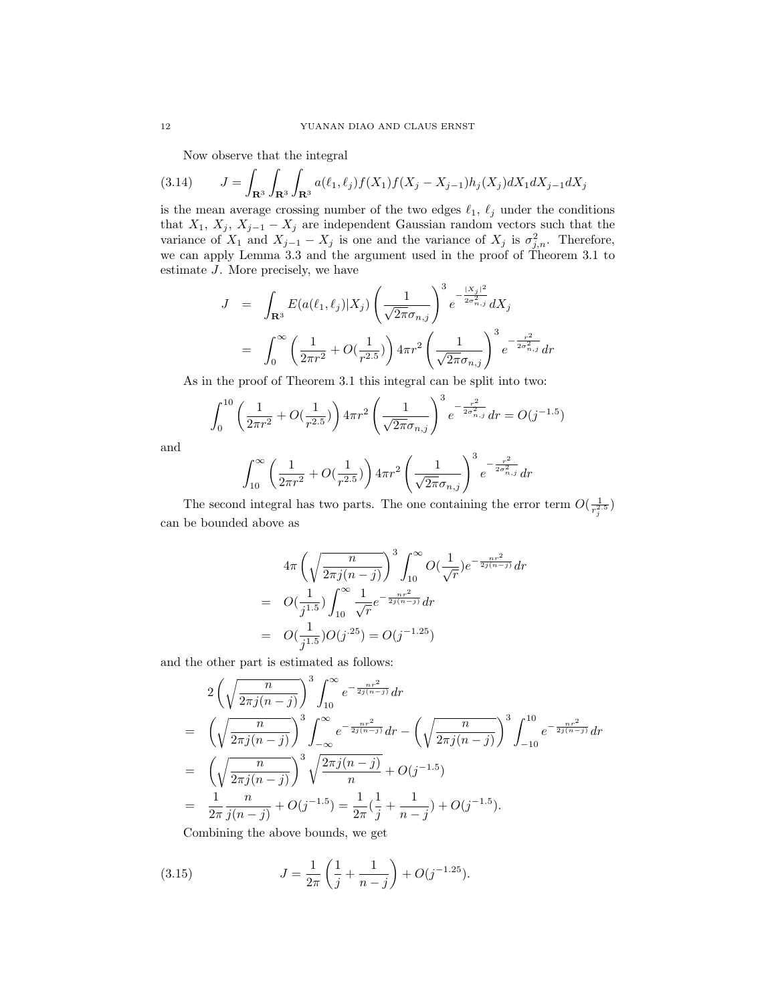Now observe that the integral

$$
(3.14) \qquad J = \int_{\mathbf{R}^3} \int_{\mathbf{R}^3} a(\ell_1, \ell_j) f(X_1) f(X_j - X_{j-1}) h_j(X_j) dX_1 dX_{j-1} dX_j
$$

is the mean average crossing number of the two edges  $\ell_1, \ell_j$  under the conditions that  $X_1, X_j, X_{j-1} - X_j$  are independent Gaussian random vectors such that the variance of  $X_1$  and  $X_{j-1} - X_j$  is one and the variance of  $X_j$  is  $\sigma_{j,n}^2$ . Therefore, we can apply Lemma 3.3 and the argument used in the proof of Theorem 3.1 to estimate J. More precisely, we have

$$
J = \int_{\mathbf{R}^3} E(a(\ell_1, \ell_j)|X_j) \left(\frac{1}{\sqrt{2\pi}\sigma_{n,j}}\right)^3 e^{-\frac{|X_j|^2}{2\sigma_{n,j}^2}} dX_j
$$
  

$$
= \int_0^\infty \left(\frac{1}{2\pi r^2} + O(\frac{1}{r^{2.5}})\right) 4\pi r^2 \left(\frac{1}{\sqrt{2\pi}\sigma_{n,j}}\right)^3 e^{-\frac{r^2}{2\sigma_{n,j}^2}} dr
$$

As in the proof of Theorem 3.1 this integral can be split into two:

$$
\int_0^{10} \left(\frac{1}{2\pi r^2} + O\left(\frac{1}{r^{2.5}}\right)\right) 4\pi r^2 \left(\frac{1}{\sqrt{2\pi}\sigma_{n,j}}\right)^3 e^{-\frac{r^2}{2\sigma_{n,j}^2}} dr = O(j^{-1.5})
$$

and

$$
\int_{10}^{\infty} \left(\frac{1}{2\pi r^2} + O(\frac{1}{r^{2.5}})\right) 4\pi r^2 \left(\frac{1}{\sqrt{2\pi}\sigma_{n,j}}\right)^3 e^{-\frac{r^2}{2\sigma_{n,j}^2}} dr
$$

The second integral has two parts. The one containing the error term  $O(\frac{1}{r_j^2})$ can be bounded above as

$$
4\pi \left(\sqrt{\frac{n}{2\pi j(n-j)}}\right)^3 \int_{10}^{\infty} O(\frac{1}{\sqrt{r}}) e^{-\frac{nr^2}{2j(n-j)}} dr
$$
  
=  $O(\frac{1}{j^{1.5}}) \int_{10}^{\infty} \frac{1}{\sqrt{r}} e^{-\frac{nr^2}{2j(n-j)}} dr$   
=  $O(\frac{1}{j^{1.5}})O(j^{.25}) = O(j^{-1.25})$ 

and the other part is estimated as follows:

$$
2\left(\sqrt{\frac{n}{2\pi j(n-j)}}\right)^3 \int_{10}^{\infty} e^{-\frac{nr^2}{2j(n-j)}} dr
$$
  
=  $\left(\sqrt{\frac{n}{2\pi j(n-j)}}\right)^3 \int_{-\infty}^{\infty} e^{-\frac{nr^2}{2j(n-j)}} dr - \left(\sqrt{\frac{n}{2\pi j(n-j)}}\right)^3 \int_{-10}^{10} e^{-\frac{nr^2}{2j(n-j)}} dr$   
=  $\left(\sqrt{\frac{n}{2\pi j(n-j)}}\right)^3 \sqrt{\frac{2\pi j(n-j)}{n}} + O(j^{-1.5})$   
=  $\frac{1}{2\pi} \frac{n}{j(n-j)} + O(j^{-1.5}) = \frac{1}{2\pi} (\frac{1}{j} + \frac{1}{n-j}) + O(j^{-1.5}).$ 

Combining the above bounds, we get

(3.15) 
$$
J = \frac{1}{2\pi} \left( \frac{1}{j} + \frac{1}{n-j} \right) + O(j^{-1.25}).
$$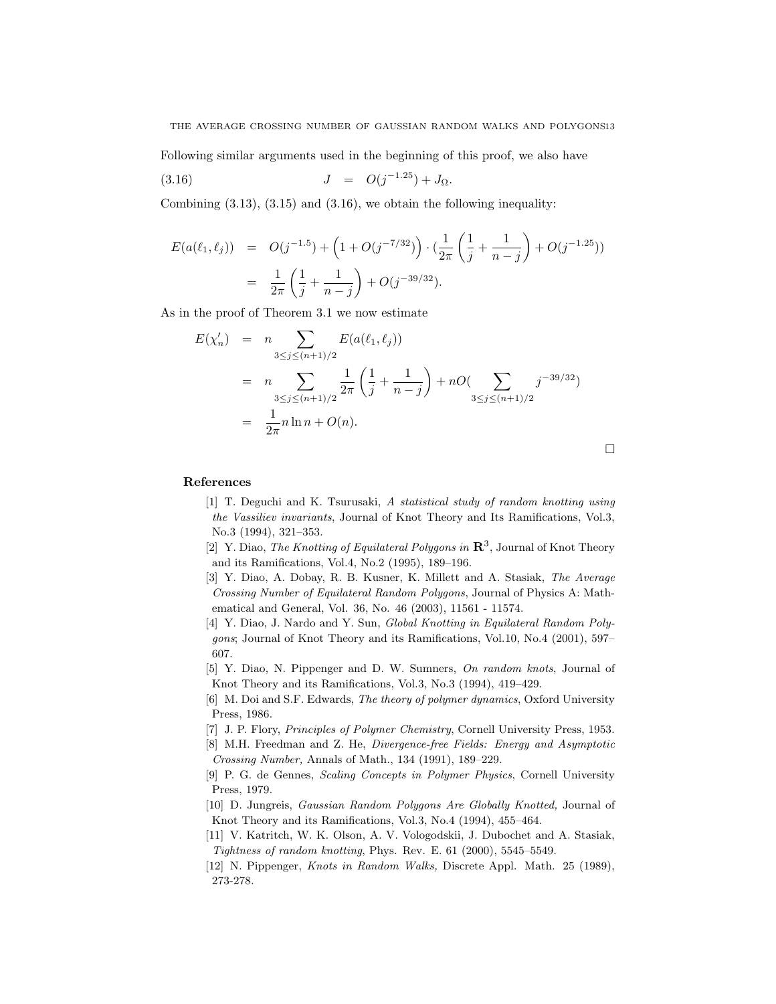THE AVERAGE CROSSING NUMBER OF GAUSSIAN RANDOM WALKS AND POLYGONS13

Following similar arguments used in the beginning of this proof, we also have

(3.16) 
$$
J = O(j^{-1.25}) + J_{\Omega}.
$$

Combining  $(3.13)$ ,  $(3.15)$  and  $(3.16)$ , we obtain the following inequality:

$$
E(a(\ell_1, \ell_j)) = O(j^{-1.5}) + \left(1 + O(j^{-7/32})\right) \cdot \left(\frac{1}{2\pi} \left(\frac{1}{j} + \frac{1}{n-j}\right) + O(j^{-1.25}))
$$
  
= 
$$
\frac{1}{2\pi} \left(\frac{1}{j} + \frac{1}{n-j}\right) + O(j^{-39/32}).
$$

As in the proof of Theorem 3.1 we now estimate

$$
E(\chi'_n) = n \sum_{3 \le j \le (n+1)/2} E(a(\ell_1, \ell_j))
$$
  
=  $n \sum_{3 \le j \le (n+1)/2} \frac{1}{2\pi} \left(\frac{1}{j} + \frac{1}{n-j}\right) + nO(\sum_{3 \le j \le (n+1)/2} j^{-39/32})$   
=  $\frac{1}{2\pi} n \ln n + O(n).$ 

References

[1] T. Deguchi and K. Tsurusaki, A statistical study of random knotting using the Vassiliev invariants, Journal of Knot Theory and Its Ramifications, Vol.3, No.3 (1994), 321–353.

¤

- [2] Y. Diao, The Knotting of Equilateral Polygons in  $\mathbb{R}^3$ , Journal of Knot Theory and its Ramifications, Vol.4, No.2 (1995), 189–196.
- [3] Y. Diao, A. Dobay, R. B. Kusner, K. Millett and A. Stasiak, The Average Crossing Number of Equilateral Random Polygons, Journal of Physics A: Mathematical and General, Vol. 36, No. 46 (2003), 11561 - 11574.
- [4] Y. Diao, J. Nardo and Y. Sun, Global Knotting in Equilateral Random Polygons; Journal of Knot Theory and its Ramifications, Vol.10, No.4 (2001), 597– 607.
- [5] Y. Diao, N. Pippenger and D. W. Sumners, On random knots, Journal of Knot Theory and its Ramifications, Vol.3, No.3 (1994), 419–429.
- [6] M. Doi and S.F. Edwards, The theory of polymer dynamics, Oxford University Press, 1986.
- [7] J. P. Flory, Principles of Polymer Chemistry, Cornell University Press, 1953.
- [8] M.H. Freedman and Z. He, Divergence-free Fields: Energy and Asymptotic Crossing Number, Annals of Math., 134 (1991), 189–229.
- [9] P. G. de Gennes, Scaling Concepts in Polymer Physics, Cornell University Press, 1979.
- [10] D. Jungreis, Gaussian Random Polygons Are Globally Knotted, Journal of Knot Theory and its Ramifications, Vol.3, No.4 (1994), 455–464.
- [11] V. Katritch, W. K. Olson, A. V. Vologodskii, J. Dubochet and A. Stasiak, Tightness of random knotting, Phys. Rev. E. 61 (2000), 5545–5549.
- [12] N. Pippenger, Knots in Random Walks, Discrete Appl. Math. 25 (1989), 273-278.